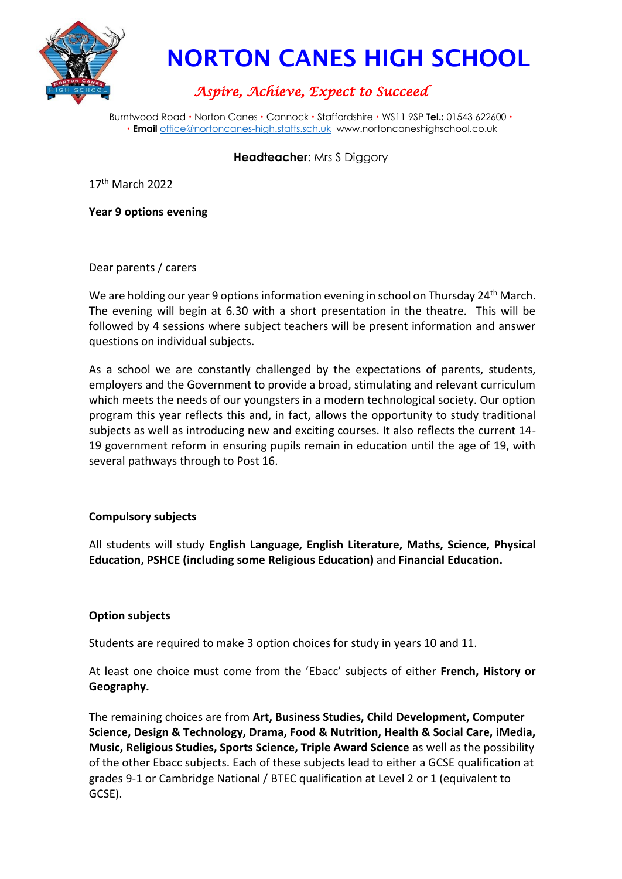

# NORTON CANES HIGH SCHOOL

# *Aspire, Achieve, Expect to Succeed*

Burntwood Road • Norton Canes • Cannock • Staffordshire • WS11 9SP Tel.: 01543 622600 • **Email** [office@nortoncanes-high.staffs.sch.uk](mailto:office@nortoncanes-high.staffs.sch.uk) www.nortoncaneshighschool.co.uk

**Headteacher**: Mrs S Diggory

17th March 2022

**Year 9 options evening**

Dear parents / carers

We are holding our year 9 options information evening in school on Thursday 24<sup>th</sup> March. The evening will begin at 6.30 with a short presentation in the theatre. This will be followed by 4 sessions where subject teachers will be present information and answer questions on individual subjects.

As a school we are constantly challenged by the expectations of parents, students, employers and the Government to provide a broad, stimulating and relevant curriculum which meets the needs of our youngsters in a modern technological society. Our option program this year reflects this and, in fact, allows the opportunity to study traditional subjects as well as introducing new and exciting courses. It also reflects the current 14- 19 government reform in ensuring pupils remain in education until the age of 19, with several pathways through to Post 16.

## **Compulsory subjects**

All students will study **English Language, English Literature, Maths, Science, Physical Education, PSHCE (including some Religious Education)** and **Financial Education.** 

## **Option subjects**

Students are required to make 3 option choices for study in years 10 and 11.

At least one choice must come from the 'Ebacc' subjects of either **French, History or Geography.**

The remaining choices are from **Art, Business Studies, Child Development, Computer Science, Design & Technology, Drama, Food & Nutrition, Health & Social Care, iMedia, Music, Religious Studies, Sports Science, Triple Award Science** as well as the possibility of the other Ebacc subjects. Each of these subjects lead to either a GCSE qualification at grades 9-1 or Cambridge National / BTEC qualification at Level 2 or 1 (equivalent to GCSE).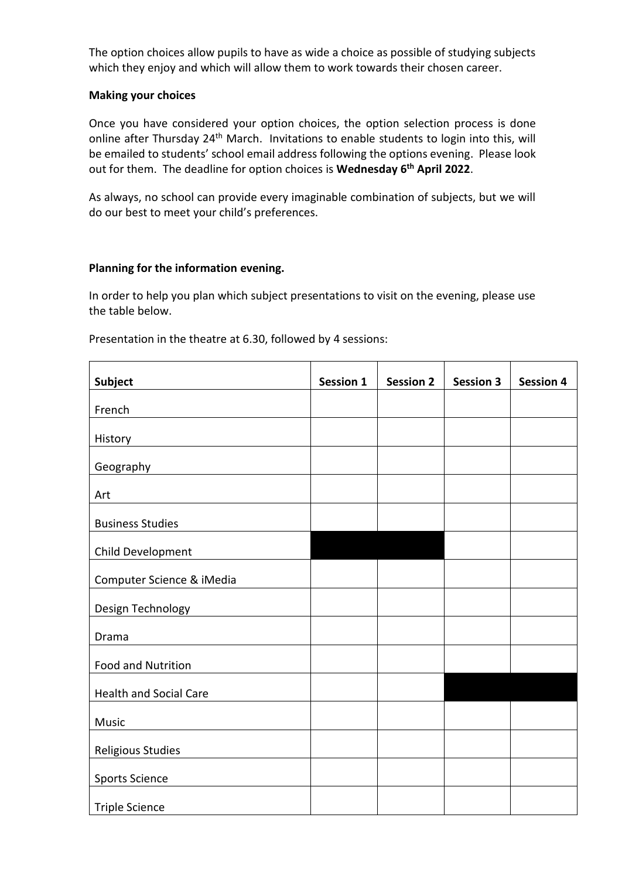The option choices allow pupils to have as wide a choice as possible of studying subjects which they enjoy and which will allow them to work towards their chosen career.

#### **Making your choices**

Once you have considered your option choices, the option selection process is done online after Thursday 24<sup>th</sup> March. Invitations to enable students to login into this, will be emailed to students' school email address following the options evening. Please look out for them. The deadline for option choices is **Wednesday 6 th April 2022**.

As always, no school can provide every imaginable combination of subjects, but we will do our best to meet your child's preferences.

#### **Planning for the information evening.**

In order to help you plan which subject presentations to visit on the evening, please use the table below.

Presentation in the theatre at 6.30, followed by 4 sessions:

| Subject                       | <b>Session 1</b> | <b>Session 2</b> | <b>Session 3</b> | <b>Session 4</b> |
|-------------------------------|------------------|------------------|------------------|------------------|
| French                        |                  |                  |                  |                  |
| History                       |                  |                  |                  |                  |
| Geography                     |                  |                  |                  |                  |
| Art                           |                  |                  |                  |                  |
| <b>Business Studies</b>       |                  |                  |                  |                  |
| Child Development             |                  |                  |                  |                  |
|                               |                  |                  |                  |                  |
| Computer Science & iMedia     |                  |                  |                  |                  |
| Design Technology             |                  |                  |                  |                  |
| Drama                         |                  |                  |                  |                  |
| <b>Food and Nutrition</b>     |                  |                  |                  |                  |
| <b>Health and Social Care</b> |                  |                  |                  |                  |
| Music                         |                  |                  |                  |                  |
| Religious Studies             |                  |                  |                  |                  |
| <b>Sports Science</b>         |                  |                  |                  |                  |
| <b>Triple Science</b>         |                  |                  |                  |                  |